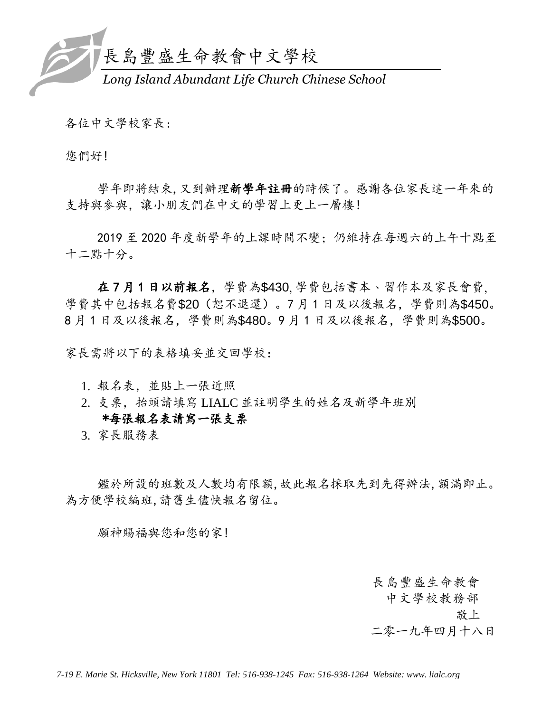

各位中文學校家長:

您們好!

學年即將結束,又到辦理新學年註冊的時候了。感謝各位家長這一年來的 支持與參與,讓小朋友們在中文的學習上更上一層樓!

2019 至 2020 年度新學年的上課時間不變;仍維持在每週六的上午十點至 十二點十分。

在 7 月 1 日以前報名,學費為\$430, 學費包括書本、習作本及家長會費, 學費其中包括報名費\$20(恕不退還)。7 月 1 日及以後報名,學費則為\$450。 8 月 1 日及以後報名,學費則為\$480。9 月 1 日及以後報名,學費則為\$500。

家長需將以下的表格填妥並交回學校:

- 1. 報名表,並貼上一張近照
- 2. 支票,抬頭請填寫 LIALC 並註明學生的姓名及新學年班別 \*每張報名表請寫一張支票

3. 家長服務表

鑑於所設的班數及人數均有限額,故此報名採取先到先得辦法,額滿即止。 為方便學校編班,請舊生儘快報名留位。

願神賜福與您和您的家!

長島豐盛生命教會

中文學校教務部

故上 的复数上

二零一九年四月十八日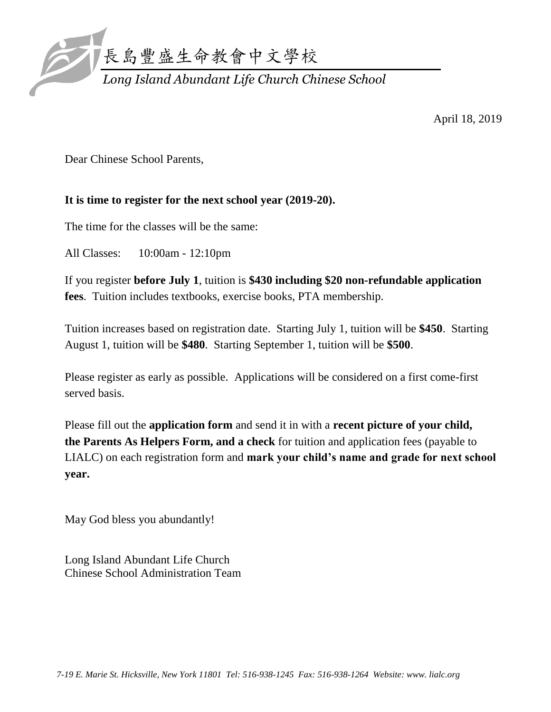

April 18, 2019

Dear Chinese School Parents,

### **It is time to register for the next school year (2019-20).**

The time for the classes will be the same:

All Classes: 10:00am - 12:10pm

If you register **before July 1**, tuition is **\$430 including \$20 non-refundable application fees**. Tuition includes textbooks, exercise books, PTA membership.

Tuition increases based on registration date. Starting July 1, tuition will be **\$450**. Starting August 1, tuition will be **\$480**. Starting September 1, tuition will be **\$500**.

Please register as early as possible. Applications will be considered on a first come-first served basis.

Please fill out the **application form** and send it in with a **recent picture of your child, the Parents As Helpers Form, and a check** for tuition and application fees (payable to LIALC) on each registration form and **mark your child's name and grade for next school year.**

May God bless you abundantly!

Long Island Abundant Life Church Chinese School Administration Team